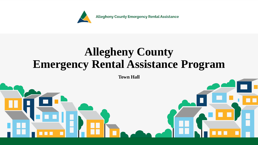

### **Allegheny County Emergency Rental Assistance Program**

**Town Hall**

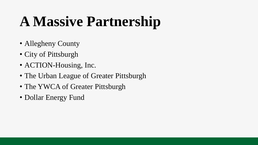## **A Massive Partnership**

- Allegheny County
- City of Pittsburgh
- ACTION-Housing, Inc.
- The Urban League of Greater Pittsburgh
- The YWCA of Greater Pittsburgh
- Dollar Energy Fund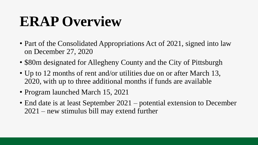## **ERAP Overview**

- Part of the Consolidated Appropriations Act of 2021, signed into law on December 27, 2020
- \$80m designated for Allegheny County and the City of Pittsburgh
- Up to 12 months of rent and/or utilities due on or after March 13, 2020, with up to three additional months if funds are available
- Program launched March 15, 2021
- End date is at least September 2021 potential extension to December 2021 – new stimulus bill may extend further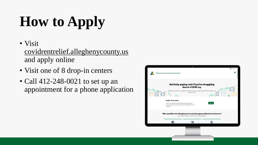# **How to Apply**

• Visit

covidrentrelief.alleghenycounty.us and apply online

- Visit one of 8 drop-in centers
- Call 412-248-0021 to set up an appointment for a phone application

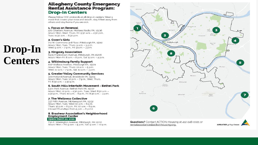#### **Allegheny County Emergency<br>Rental Assistance Program: Drop-In Centers**

Please follow CDC protocols at all drop-in centers. Wear a mask that covers your nose and mouth, stay 6 feet away from others and stay home if you are sick.

#### 1. Focus on Renewal

420 Chartiers Avenue, McKees Rocks PA, 15136 Hours: Mon, Wed, Thurs, Fri: 9:30 a.m. - 4:30 p.m., Tues: 11:30 a.m. - 6:30 p.m.

#### 2. Gwen's Girls

711 W. Commons 3rd Floor, Pittsburgh PA, 15212 Hours: Mon, Tues, Thurs: 9 a.m. - 5 p.m. Wed: 9 a.m. - 7 p.m., Fri: 9 a.m. - 3 p.m.

#### 3. Kingsley Association

6435 Frankstown Avenue, Pittsburgh, PA 15206 Hours: Mon-Fri: 8 a.m. - 8 p.m., Sat: 9 a.m. - 4 p.m.

#### 4. Wilkinsburg Family Support

807 Wallace Avenue, Pittsburgh PA, 15221 Hours: Mon, Tues, Thurs: 10 a.m. - 5 p.m. Wed: 10 a.m. - 7 p.m., Sat: 10 a.m. - 3 p.m.

#### 5. Greater Valley Community Services

300 Holland Avenue, Braddock PA, 15104 Hours: Mon, Tues: 12 p.m. - 7 p.m., Wed, Thurs, Fri: 8:30 a.m. - 3:30 p.m.

#### 6. South Hills Interfaith Movement - Bethel Park

5301 Park Avenue, Bethel Park PA, 15102 Hours: Mon: 12 p.m. - 4:30 p.m., Tues, Wed: 8:30 a.m. -4:30 p.m., Thurs: 10 a.m. - 6 p.m., Fri: 8:30 a.m. - 3 p.m.

#### 7. The Wellness Collective

337 Fifth Avenue, McKeesport PA, 15132 Hours: Mon, Tues, Wed: 10 a.m. - 6 p.m. Thurs: 12 p.m. - 8 p.m., Fri: 10 a.m. - 6 p.m. (closed Thursdays from 5 p.m. - 6 p.m.)

#### 8. Brashear Association's Neighborhood **Employment Center Opens March 22, 2021**

730 E. Warrington Avenue, Pittsburgh, PA 15210 Hours: Mon - Fri: 9 a.m. - 5 p.m., Sat: 9 a.m. - 12 p.m.



rentalassistance@actionhousing.org.

UPDATED 3/14/2021

### **Drop-In Centers**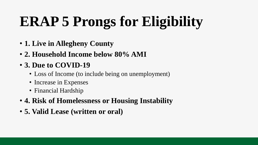# **ERAP 5 Prongs for Eligibility**

- **1. Live in Allegheny County**
- **2. Household Income below 80% AMI**
- **3. Due to COVID-19**
	- Loss of Income (to include being on unemployment)
	- Increase in Expenses
	- Financial Hardship
- **4. Risk of Homelessness or Housing Instability**
- **5. Valid Lease (written or oral)**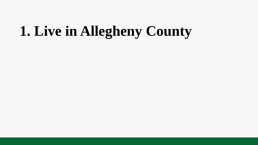### **1. Live in Allegheny County**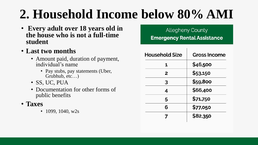### **2. Household Income below 80% AMI**

- **Every adult over 18 years old in the house who is not a full-time student**
- **Last two months**
	- Amount paid, duration of payment, individual's name
		- Pay stubs, pay statements (Uber, Grubhub, etc…)
	- SS, UC, PUA
	- Documentation for other forms of public benefits
- **Taxes**
	- 1099, 1040,  $w2s$

#### **Allegheny County Emergency Rental Assistance**

| <b>Household Size</b> | <b>Gross Income</b> |
|-----------------------|---------------------|
| 1                     | \$46,500            |
| 2                     | \$53,150            |
| 3                     | \$59,800            |
| 4                     | \$66,400            |
| 5                     | \$71,750            |
| 6                     | \$77,050            |
|                       | \$82,350            |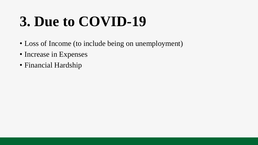## **3. Due to COVID-19**

- Loss of Income (to include being on unemployment)
- Increase in Expenses
- Financial Hardship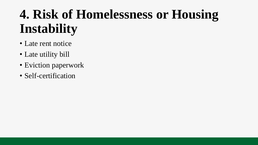### **4. Risk of Homelessness or Housing Instability**

- Late rent notice
- Late utility bill
- Eviction paperwork
- Self-certification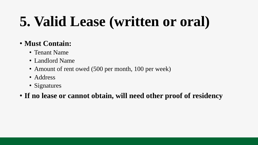## **5. Valid Lease (written or oral)**

#### • **Must Contain:**

- Tenant Name
- Landlord Name
- Amount of rent owed (500 per month, 100 per week)
- Address
- Signatures

#### • **If no lease or cannot obtain, will need other proof of residency**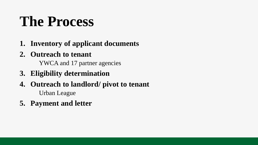## **The Process**

- **1. Inventory of applicant documents**
- **2. Outreach to tenant**

YWCA and 17 partner agencies

- **3. Eligibility determination**
- **4. Outreach to landlord/ pivot to tenant** Urban League
- **5. Payment and letter**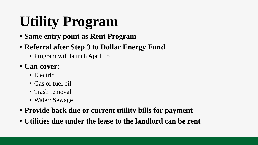# **Utility Program**

- **Same entry point as Rent Program**
- **Referral after Step 3 to Dollar Energy Fund**
	- Program will launch April 15
- **Can cover:**
	- Electric
	- Gas or fuel oil
	- Trash removal
	- Water/ Sewage
- **Provide back due or current utility bills for payment**
- **Utilities due under the lease to the landlord can be rent**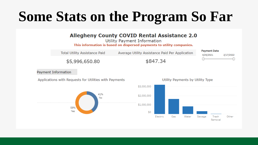## **Some Stats on the Program So Far**

#### **Allegheny County COVID Rental Assistance 2.0**

Utility Payment Information

This information is based on dispersed payments to utility companies.



Payment Information



Applications with Requests for Utilities with Payments

Utility Payments by Utility Type